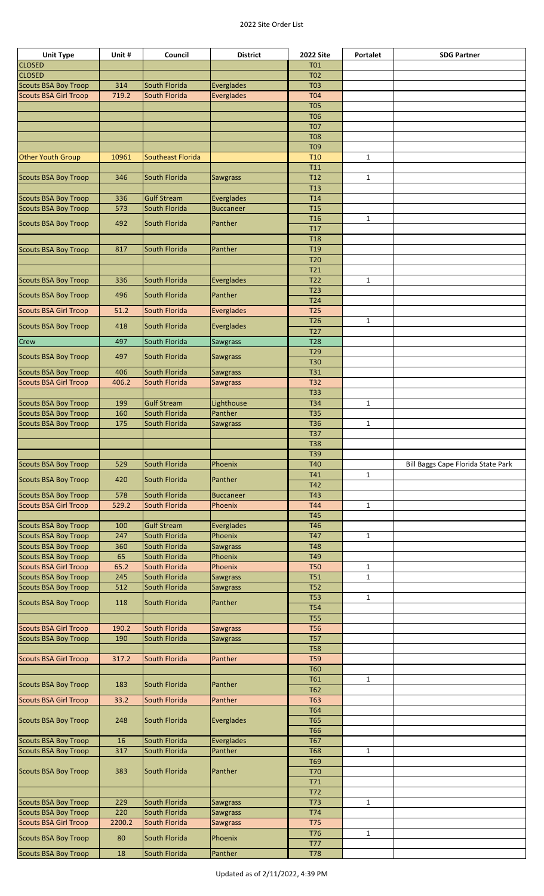## 2022 Site Order List

| <b>Unit Type</b>             | Unit # | Council            | <b>District</b>   | <b>2022 Site</b>         | Portalet     | <b>SDG Partner</b>                 |
|------------------------------|--------|--------------------|-------------------|--------------------------|--------------|------------------------------------|
| <b>CLOSED</b>                |        |                    |                   | <b>T01</b>               |              |                                    |
| <b>CLOSED</b>                |        |                    |                   | <b>T02</b>               |              |                                    |
| <b>Scouts BSA Boy Troop</b>  | 314    | South Florida      | Everglades        | <b>T03</b>               |              |                                    |
| <b>Scouts BSA Girl Troop</b> | 719.2  | South Florida      | <b>Everglades</b> | <b>T04</b>               |              |                                    |
|                              |        |                    |                   | <b>T05</b>               |              |                                    |
|                              |        |                    |                   |                          |              |                                    |
|                              |        |                    |                   | <b>T06</b>               |              |                                    |
|                              |        |                    |                   | <b>T07</b>               |              |                                    |
|                              |        |                    |                   | <b>T08</b>               |              |                                    |
|                              |        |                    |                   | T <sub>09</sub>          |              |                                    |
| <b>Other Youth Group</b>     | 10961  | Southeast Florida  |                   | T <sub>10</sub>          | $\mathbf{1}$ |                                    |
|                              |        |                    |                   | T <sub>11</sub>          |              |                                    |
| <b>Scouts BSA Boy Troop</b>  | 346    | South Florida      | <b>Sawgrass</b>   | T <sub>12</sub>          | $\mathbf{1}$ |                                    |
|                              |        |                    |                   | T <sub>13</sub>          |              |                                    |
| <b>Scouts BSA Boy Troop</b>  | 336    | <b>Gulf Stream</b> | <b>Everglades</b> | T14                      |              |                                    |
| <b>Scouts BSA Boy Troop</b>  | 573    | South Florida      | <b>Buccaneer</b>  | T <sub>15</sub>          |              |                                    |
|                              |        |                    |                   | T16                      | $\mathbf{1}$ |                                    |
| <b>Scouts BSA Boy Troop</b>  | 492    | South Florida      | Panther           | T <sub>17</sub>          |              |                                    |
|                              |        |                    |                   | <b>T18</b>               |              |                                    |
| <b>Scouts BSA Boy Troop</b>  | 817    | South Florida      | Panther           | T <sub>19</sub>          |              |                                    |
|                              |        |                    |                   | T <sub>20</sub>          |              |                                    |
|                              |        |                    |                   |                          |              |                                    |
|                              |        |                    |                   | <b>T21</b>               |              |                                    |
| <b>Scouts BSA Boy Troop</b>  | 336    | South Florida      | Everglades        | T <sub>22</sub>          | $\mathbf{1}$ |                                    |
| <b>Scouts BSA Boy Troop</b>  | 496    | South Florida      | Panther           | T <sub>23</sub>          |              |                                    |
|                              |        |                    |                   | T24                      |              |                                    |
| <b>Scouts BSA Girl Troop</b> | 51.2   | South Florida      | <b>Everglades</b> | <b>T25</b>               |              |                                    |
| <b>Scouts BSA Boy Troop</b>  | 418    | South Florida      | Everglades        | T26                      | $\mathbf{1}$ |                                    |
|                              |        |                    |                   | T <sub>27</sub>          |              |                                    |
| Crew                         | 497    | South Florida      | <b>Sawgrass</b>   | <b>T28</b>               |              |                                    |
|                              |        |                    |                   | T <sub>29</sub>          |              |                                    |
| <b>Scouts BSA Boy Troop</b>  | 497    | South Florida      | <b>Sawgrass</b>   | <b>T30</b>               |              |                                    |
| <b>Scouts BSA Boy Troop</b>  | 406    | South Florida      | <b>Sawgrass</b>   | <b>T31</b>               |              |                                    |
| <b>Scouts BSA Girl Troop</b> | 406.2  | South Florida      | <b>Sawgrass</b>   | <b>T32</b>               |              |                                    |
|                              |        |                    |                   | <b>T33</b>               |              |                                    |
| <b>Scouts BSA Boy Troop</b>  | 199    | <b>Gulf Stream</b> |                   | <b>T34</b>               |              |                                    |
|                              |        |                    | Lighthouse        |                          | $\mathbf{1}$ |                                    |
| <b>Scouts BSA Boy Troop</b>  | 160    | South Florida      | Panther           | <b>T35</b>               |              |                                    |
| <b>Scouts BSA Boy Troop</b>  | 175    | South Florida      | <b>Sawgrass</b>   | T36                      | $\mathbf{1}$ |                                    |
|                              |        |                    |                   | <b>T37</b>               |              |                                    |
|                              |        |                    |                   | <b>T38</b>               |              |                                    |
|                              |        |                    |                   | T39                      |              |                                    |
| <b>Scouts BSA Boy Troop</b>  | 529    | South Florida      | Phoenix           | <b>T40</b>               |              | Bill Baggs Cape Florida State Park |
|                              |        | South Florida      | Panther           | T41                      | $\mathbf{1}$ |                                    |
| <b>Scouts BSA Boy Troop</b>  | 420    |                    |                   | T42                      |              |                                    |
| <b>Scouts BSA Boy Troop</b>  | 578    | South Florida      | <b>Buccaneer</b>  | <b>T43</b>               |              |                                    |
|                              | 529.2  | South Florida      | Phoenix           | <b>T44</b>               | $\mathbf{1}$ |                                    |
|                              |        |                    |                   |                          |              |                                    |
| <b>Scouts BSA Girl Troop</b> |        |                    |                   |                          |              |                                    |
|                              |        |                    |                   | <b>T45</b>               |              |                                    |
| <b>Scouts BSA Boy Troop</b>  | 100    | <b>Gulf Stream</b> | Everglades        | <b>T46</b>               |              |                                    |
| <b>Scouts BSA Boy Troop</b>  | 247    | South Florida      | Phoenix           | <b>T47</b>               | $\mathbf{1}$ |                                    |
| <b>Scouts BSA Boy Troop</b>  | 360    | South Florida      | <b>Sawgrass</b>   | <b>T48</b>               |              |                                    |
| <b>Scouts BSA Boy Troop</b>  | 65     | South Florida      | Phoenix           | T49                      |              |                                    |
| <b>Scouts BSA Girl Troop</b> | 65.2   | South Florida      | Phoenix           | <b>T50</b>               | $\mathbf{1}$ |                                    |
| <b>Scouts BSA Boy Troop</b>  | 245    | South Florida      | <b>Sawgrass</b>   | T <sub>51</sub>          | $\mathbf{1}$ |                                    |
| <b>Scouts BSA Boy Troop</b>  | 512    | South Florida      | <b>Sawgrass</b>   | <b>T52</b>               |              |                                    |
|                              |        |                    |                   | <b>T53</b>               | $\mathbf{1}$ |                                    |
| <b>Scouts BSA Boy Troop</b>  | 118    | South Florida      | Panther           | <b>T54</b>               |              |                                    |
|                              |        |                    |                   | <b>T55</b>               |              |                                    |
| <b>Scouts BSA Girl Troop</b> | 190.2  | South Florida      | <b>Sawgrass</b>   | <b>T56</b>               |              |                                    |
|                              | 190    | South Florida      |                   | <b>T57</b>               |              |                                    |
| <b>Scouts BSA Boy Troop</b>  |        |                    | <b>Sawgrass</b>   | <b>T58</b>               |              |                                    |
|                              |        |                    |                   |                          |              |                                    |
| <b>Scouts BSA Girl Troop</b> | 317.2  | South Florida      | Panther           | <b>T59</b>               |              |                                    |
|                              |        |                    |                   | <b>T60</b>               |              |                                    |
| <b>Scouts BSA Boy Troop</b>  | 183    | South Florida      | Panther           | <b>T61</b>               | $\mathbf{1}$ |                                    |
|                              |        |                    |                   | <b>T62</b>               |              |                                    |
| <b>Scouts BSA Girl Troop</b> | 33.2   | South Florida      | Panther           | <b>T63</b>               |              |                                    |
|                              |        |                    |                   | <b>T64</b>               |              |                                    |
| <b>Scouts BSA Boy Troop</b>  | 248    | South Florida      | Everglades        | <b>T65</b>               |              |                                    |
|                              |        |                    |                   | <b>T66</b>               |              |                                    |
| <b>Scouts BSA Boy Troop</b>  | 16     | South Florida      | Everglades        | <b>T67</b>               |              |                                    |
| <b>Scouts BSA Boy Troop</b>  | 317    | South Florida      | Panther           | <b>T68</b>               | $\mathbf{1}$ |                                    |
|                              |        |                    |                   | <b>T69</b>               |              |                                    |
| <b>Scouts BSA Boy Troop</b>  | 383    | South Florida      | Panther           | <b>T70</b>               |              |                                    |
|                              |        |                    |                   | T71                      |              |                                    |
|                              |        |                    |                   | T72                      |              |                                    |
|                              |        |                    |                   |                          |              |                                    |
| <b>Scouts BSA Boy Troop</b>  | 229    | South Florida      | Sawgrass          | T73                      | $\mathbf{1}$ |                                    |
| <b>Scouts BSA Boy Troop</b>  | 220    | South Florida      | Sawgrass          | T74                      |              |                                    |
| <b>Scouts BSA Girl Troop</b> | 2200.2 | South Florida      | <b>Sawgrass</b>   | <b>T75</b>               |              |                                    |
| <b>Scouts BSA Boy Troop</b>  | 80     | South Florida      | Phoenix           | T76                      | $\mathbf{1}$ |                                    |
| <b>Scouts BSA Boy Troop</b>  | 18     | South Florida      | Panther           | <b>T77</b><br><b>T78</b> |              |                                    |